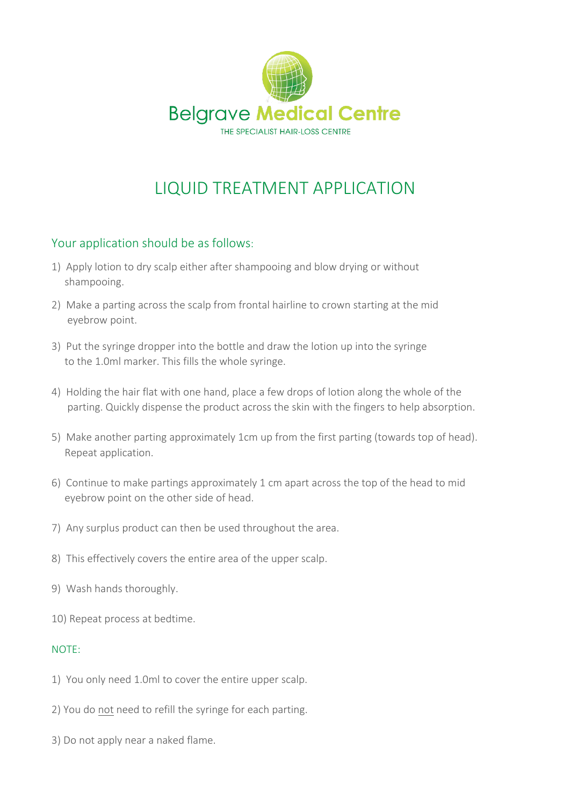

# LIQUID TREATMENT APPLICATION

### Your application should be as follows:

- 1) Apply lotion to dry scalp either after shampooing and blow drying or without shampooing.
- 2) Make a parting across the scalp from frontal hairline to crown starting at the mid eyebrow point.
- 3) Put the syringe dropper into the bottle and draw the lotion up into the syringe to the 1.0ml marker. This fills the whole syringe.
- 4) Holding the hair flat with one hand, place a few drops of lotion along the whole of the parting. Quickly dispense the product across the skin with the fingers to help absorption.
- 5) Make another parting approximately 1cm up from the first parting (towards top of head). Repeat application.
- 6) Continue to make partings approximately 1 cm apart across the top of the head to mid eyebrow point on the other side of head.
- 7) Any surplus product can then be used throughout the area.
- 8) This effectively covers the entire area of the upper scalp.
- 9) Wash hands thoroughly.
- 10) Repeat process at bedtime.

#### NOTE:

- 1) You only need 1.0ml to cover the entire upper scalp.
- 2) You do not need to refill the syringe for each parting.
- 3) Do not apply near a naked flame.